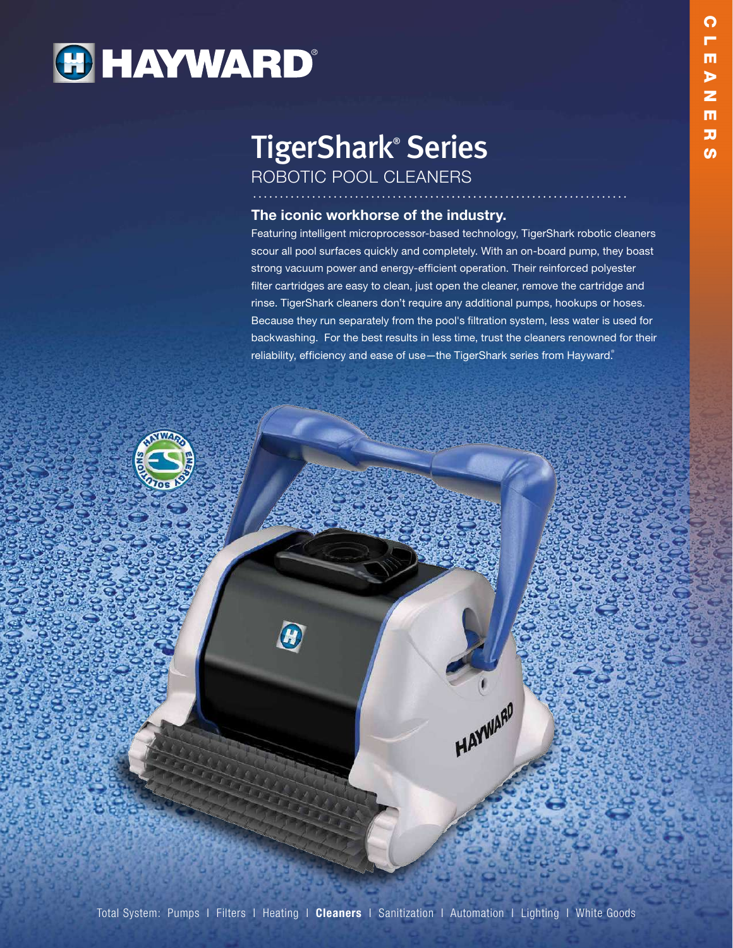# **HAYWARD®**

# TigerShark® Series ROBOTIC POOL CLEANERS

### The iconic workhorse of the industry.

Featuring intelligent microprocessor-based technology, TigerShark robotic cleaners scour all pool surfaces quickly and completely. With an on-board pump, they boast strong vacuum power and energy-efficient operation. Their reinforced polyester filter cartridges are easy to clean, just open the cleaner, remove the cartridge and rinse. TigerShark cleaners don't require any additional pumps, hookups or hoses. Because they run separately from the pool's filtration system, less water is used for backwashing. For the best results in less time, trust the cleaners renowned for their reliability, efficiency and ease of use-the TigerShark series from Hayward.®

HAYWARD